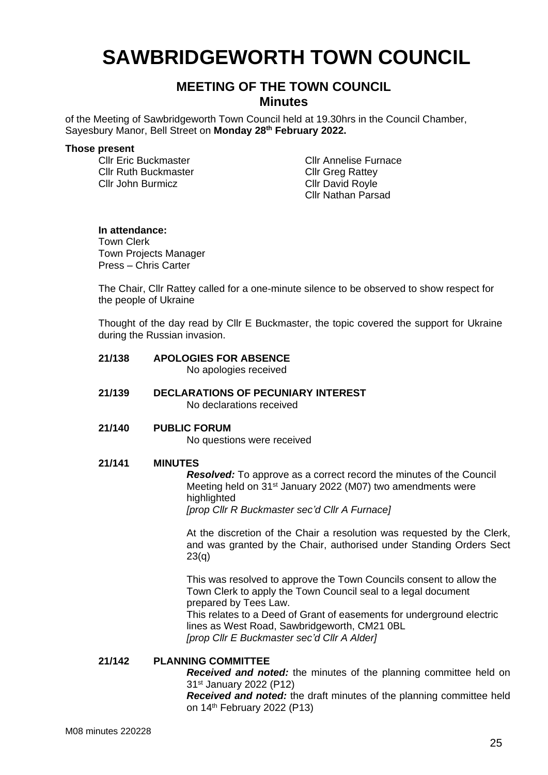# **SAWBRIDGEWORTH TOWN COUNCIL**

# **MEETING OF THE TOWN COUNCIL Minutes**

of the Meeting of Sawbridgeworth Town Council held at 19.30hrs in the Council Chamber, Sayesbury Manor, Bell Street on **Monday 28th February 2022.**

#### **Those present**

Cllr Ruth Buckmaster Cllr John Burmicz

Cllr Eric Buckmaster Cllr Annelise Furnace Cllr Greg Rattey Cllr David Royle Cllr Nathan Parsad

### **In attendance:**

Town Clerk Town Projects Manager Press – Chris Carter

The Chair, Cllr Rattey called for a one-minute silence to be observed to show respect for the people of Ukraine

Thought of the day read by Cllr E Buckmaster, the topic covered the support for Ukraine during the Russian invasion.

## **21/138 APOLOGIES FOR ABSENCE**

No apologies received

**21/139 DECLARATIONS OF PECUNIARY INTEREST** No declarations received

### **21/140 PUBLIC FORUM**

No questions were received

#### **21/141 MINUTES**

*Resolved:* To approve as a correct record the minutes of the Council Meeting held on 31st January 2022 (M07) two amendments were highlighted

*[prop Cllr R Buckmaster sec'd Cllr A Furnace]*

At the discretion of the Chair a resolution was requested by the Clerk, and was granted by the Chair, authorised under Standing Orders Sect 23(q)

This was resolved to approve the Town Councils consent to allow the Town Clerk to apply the Town Council seal to a legal document prepared by Tees Law. This relates to a Deed of Grant of easements for underground electric lines as West Road, Sawbridgeworth, CM21 0BL *[prop Cllr E Buckmaster sec'd Cllr A Alder]*

### **21/142 PLANNING COMMITTEE**

*Received and noted:* the minutes of the planning committee held on 31st January 2022 (P12)

*Received and noted:* the draft minutes of the planning committee held on 14 th February 2022 (P13)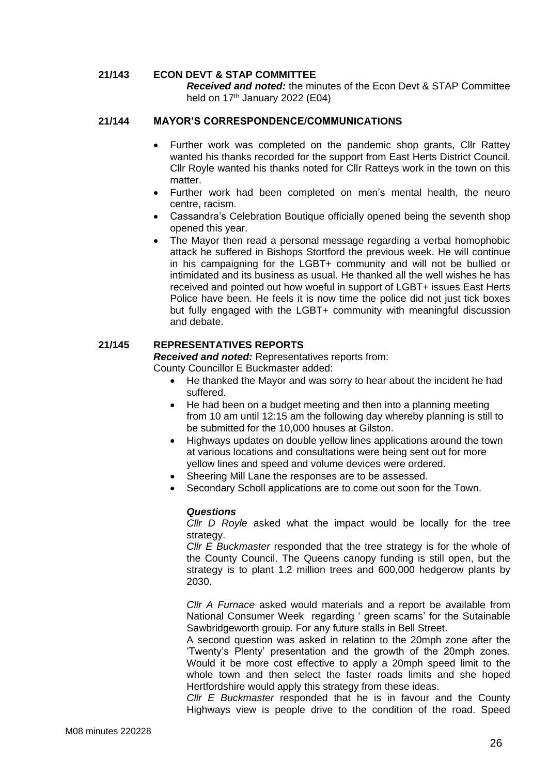### **21/143 ECON DEVT & STAP COMMITTEE**

*Received and noted:* the minutes of the Econ Devt & STAP Committee held on  $17<sup>th</sup>$  January 2022 (E04)

### **21/144 MAYOR'S CORRESPONDENCE/COMMUNICATIONS**

- Further work was completed on the pandemic shop grants, Cllr Rattey wanted his thanks recorded for the support from East Herts District Council. Cllr Royle wanted his thanks noted for Cllr Ratteys work in the town on this matter.
- Further work had been completed on men's mental health, the neuro centre, racism.
- Cassandra's Celebration Boutique officially opened being the seventh shop opened this year.
- The Mayor then read a personal message regarding a verbal homophobic attack he suffered in Bishops Stortford the previous week. He will continue in his campaigning for the LGBT+ community and will not be bullied or intimidated and its business as usual. He thanked all the well wishes he has received and pointed out how woeful in support of LGBT+ issues East Herts Police have been. He feels it is now time the police did not just tick boxes but fully engaged with the LGBT+ community with meaningful discussion and debate.

### **21/145 REPRESENTATIVES REPORTS**

*Received and noted:* Representatives reports from:

County Councillor E Buckmaster added:

- He thanked the Mayor and was sorry to hear about the incident he had suffered.
- He had been on a budget meeting and then into a planning meeting from 10 am until 12:15 am the following day whereby planning is still to be submitted for the 10,000 houses at Gilston.
- Highways updates on double yellow lines applications around the town at various locations and consultations were being sent out for more yellow lines and speed and volume devices were ordered.
- Sheering Mill Lane the responses are to be assessed.
- Secondary Scholl applications are to come out soon for the Town.

#### *Questions*

*Cllr D Royle* asked what the impact would be locally for the tree strategy.

*Cllr E Buckmaster* responded that the tree strategy is for the whole of the County Council. The Queens canopy funding is still open, but the strategy is to plant 1.2 million trees and 600,000 hedgerow plants by 2030.

*Cllr A Furnace* asked would materials and a report be available from National Consumer Week regarding ' green scams' for the Sutainable Sawbridgeworth grouip. For any future stalls in Bell Street.

A second question was asked in relation to the 20mph zone after the 'Twenty's Plenty' presentation and the growth of the 20mph zones. Would it be more cost effective to apply a 20mph speed limit to the whole town and then select the faster roads limits and she hoped Hertfordshire would apply this strategy from these ideas.

*Cllr E Buckmaster* responded that he is in favour and the County Highways view is people drive to the condition of the road. Speed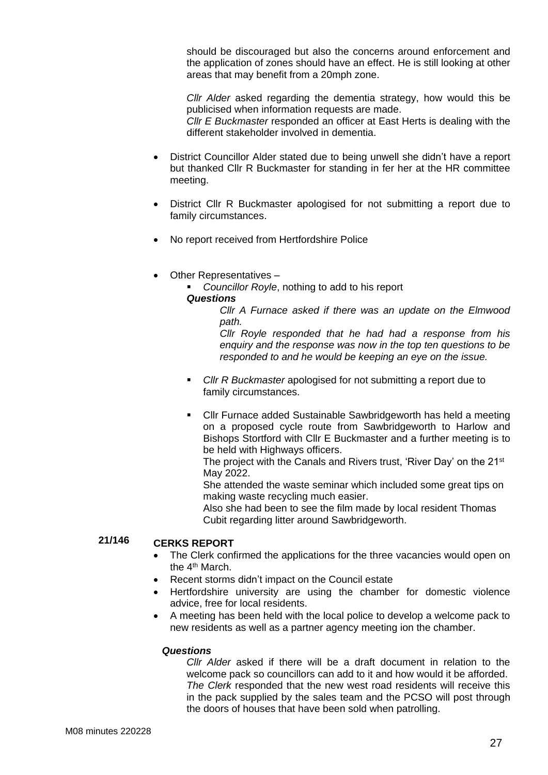should be discouraged but also the concerns around enforcement and the application of zones should have an effect. He is still looking at other areas that may benefit from a 20mph zone.

*Cllr Alder* asked regarding the dementia strategy, how would this be publicised when information requests are made.

*Cllr E Buckmaster* responded an officer at East Herts is dealing with the different stakeholder involved in dementia.

- District Councillor Alder stated due to being unwell she didn't have a report but thanked Cllr R Buckmaster for standing in fer her at the HR committee meeting.
- District Cllr R Buckmaster apologised for not submitting a report due to family circumstances.
- No report received from Hertfordshire Police
- Other Representatives –

**Councillor Royle, nothing to add to his report** 

### *Questions*

*Cllr A Furnace asked if there was an update on the Elmwood path.*

*Cllr Royle responded that he had had a response from his enquiry and the response was now in the top ten questions to be responded to and he would be keeping an eye on the issue.*

- *Cllr R Buckmaster* apologised for not submitting a report due to family circumstances.
- Cllr Furnace added Sustainable Sawbridgeworth has held a meeting on a proposed cycle route from Sawbridgeworth to Harlow and Bishops Stortford with Cllr E Buckmaster and a further meeting is to be held with Highways officers.

The project with the Canals and Rivers trust, 'River Day' on the 21<sup>st</sup> May 2022.

She attended the waste seminar which included some great tips on making waste recycling much easier.

Also she had been to see the film made by local resident Thomas Cubit regarding litter around Sawbridgeworth.

#### **21/146 CERKS REPORT**

- The Clerk confirmed the applications for the three vacancies would open on the 4<sup>th</sup> March.
- Recent storms didn't impact on the Council estate
- Hertfordshire university are using the chamber for domestic violence advice, free for local residents.
- A meeting has been held with the local police to develop a welcome pack to new residents as well as a partner agency meeting ion the chamber.

### *Questions*

*Cllr Alder* asked if there will be a draft document in relation to the welcome pack so councillors can add to it and how would it be afforded. *The Clerk* responded that the new west road residents will receive this in the pack supplied by the sales team and the PCSO will post through the doors of houses that have been sold when patrolling.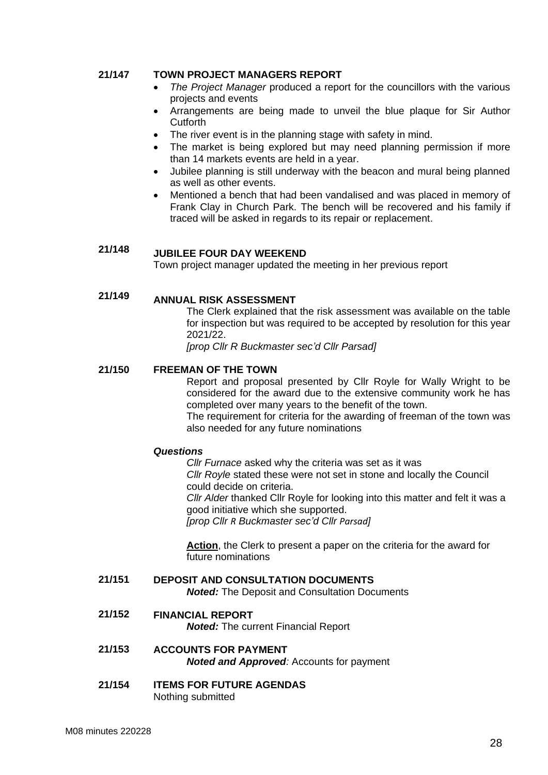#### **21/147 TOWN PROJECT MANAGERS REPORT**

- *The Project Manager* produced a report for the councillors with the various projects and events
- Arrangements are being made to unveil the blue plaque for Sir Author **Cutforth**
- The river event is in the planning stage with safety in mind.
- The market is being explored but may need planning permission if more than 14 markets events are held in a year.
- Jubilee planning is still underway with the beacon and mural being planned as well as other events.
- Mentioned a bench that had been vandalised and was placed in memory of Frank Clay in Church Park. The bench will be recovered and his family if traced will be asked in regards to its repair or replacement.

#### **21/148 JUBILEE FOUR DAY WEEKEND**

Town project manager updated the meeting in her previous report

#### **21/149 ANNUAL RISK ASSESSMENT**

The Clerk explained that the risk assessment was available on the table for inspection but was required to be accepted by resolution for this year 2021/22.

*[prop Cllr R Buckmaster sec'd Cllr Parsad]*

#### **21/150 FREEMAN OF THE TOWN**

Report and proposal presented by Cllr Royle for Wally Wright to be considered for the award due to the extensive community work he has completed over many years to the benefit of the town.

The requirement for criteria for the awarding of freeman of the town was also needed for any future nominations

#### *Questions*

*Cllr Furnace* asked why the criteria was set as it was *Cllr Royle* stated these were not set in stone and locally the Council could decide on criteria. *Cllr Alder* thanked Cllr Royle for looking into this matter and felt it was a good initiative which she supported.

*[prop Cllr R Buckmaster sec'd Cllr Parsad]*

**Action**, the Clerk to present a paper on the criteria for the award for future nominations

#### **21/151 DEPOSIT AND CONSULTATION DOCUMENTS**

*Noted:* The Deposit and Consultation Documents

- **21/152 FINANCIAL REPORT** *Noted:* The current Financial Report
- **21/153 ACCOUNTS FOR PAYMENT** *Noted and Approved:* Accounts for payment
- **21/154 ITEMS FOR FUTURE AGENDAS** Nothing submitted